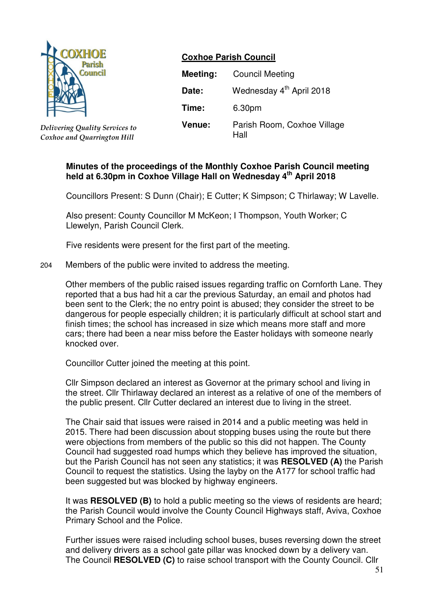

*Delivering Quality Services to Coxhoe and Quarrington Hill*

# **Coxhoe Parish Council**

| Meeting: | <b>Council Meeting</b>               |
|----------|--------------------------------------|
| Date:    | Wednesday 4 <sup>th</sup> April 2018 |
| Time:    | 6.30pm                               |
| Venue:   | Parish Room, Coxhoe Village<br>Hall  |

## **Minutes of the proceedings of the Monthly Coxhoe Parish Council meeting held at 6.30pm in Coxhoe Village Hall on Wednesday 4 th April 2018**

Councillors Present: S Dunn (Chair); E Cutter; K Simpson; C Thirlaway; W Lavelle.

Also present: County Councillor M McKeon; I Thompson, Youth Worker; C Llewelyn, Parish Council Clerk.

Five residents were present for the first part of the meeting.

204 Members of the public were invited to address the meeting.

Other members of the public raised issues regarding traffic on Cornforth Lane. They reported that a bus had hit a car the previous Saturday, an email and photos had been sent to the Clerk; the no entry point is abused; they consider the street to be dangerous for people especially children; it is particularly difficult at school start and finish times; the school has increased in size which means more staff and more cars; there had been a near miss before the Easter holidays with someone nearly knocked over.

Councillor Cutter joined the meeting at this point.

Cllr Simpson declared an interest as Governor at the primary school and living in the street. Cllr Thirlaway declared an interest as a relative of one of the members of the public present. Cllr Cutter declared an interest due to living in the street.

The Chair said that issues were raised in 2014 and a public meeting was held in 2015. There had been discussion about stopping buses using the route but there were objections from members of the public so this did not happen. The County Council had suggested road humps which they believe has improved the situation, but the Parish Council has not seen any statistics; it was **RESOLVED (A)** the Parish Council to request the statistics. Using the layby on the A177 for school traffic had been suggested but was blocked by highway engineers.

It was **RESOLVED (B)** to hold a public meeting so the views of residents are heard; the Parish Council would involve the County Council Highways staff, Aviva, Coxhoe Primary School and the Police.

Further issues were raised including school buses, buses reversing down the street and delivery drivers as a school gate pillar was knocked down by a delivery van. The Council **RESOLVED (C)** to raise school transport with the County Council. Cllr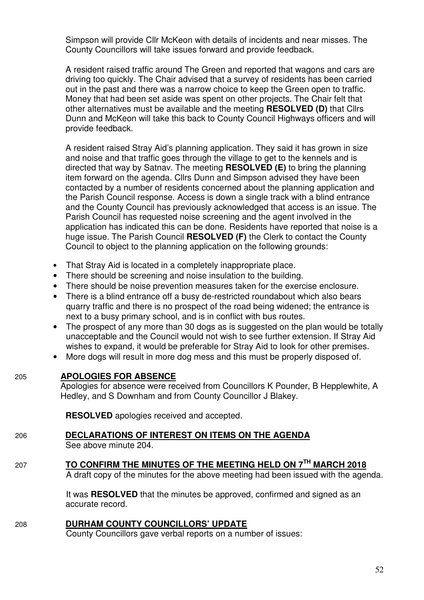Simpson will provide Cllr McKeon with details of incidents and near misses. The County Councillors will take issues forward and provide feedback.

A resident raised traffic around The Green and reported that wagons and cars are driving too quickly. The Chair advised that a survey of residents has been carried out in the past and there was a narrow choice to keep the Green open to traffic. Money that had been set aside was spent on other projects. The Chair felt that other alternatives must be available and the meeting **RESOLVED (D)** that Cllrs Dunn and McKeon will take this back to County Council Highways officers and will provide feedback.

A resident raised Stray Aid's planning application. They said it has grown in size and noise and that traffic goes through the village to get to the kennels and is directed that way by Satnav. The meeting **RESOLVED (E)** to bring the planning item forward on the agenda. Cllrs Dunn and Simpson advised they have been contacted by a number of residents concerned about the planning application and the Parish Council response. Access is down a single track with a blind entrance and the County Council has previously acknowledged that access is an issue. The Parish Council has requested noise screening and the agent involved in the application has indicated this can be done. Residents have reported that noise is a huge issue. The Parish Council **RESOLVED (F)** the Clerk to contact the County Council to object to the planning application on the following grounds:

- That Stray Aid is located in a completely inappropriate place.
- There should be screening and noise insulation to the building.
- There should be noise prevention measures taken for the exercise enclosure.
- There is a blind entrance off a busy de-restricted roundabout which also bears quarry traffic and there is no prospect of the road being widened; the entrance is next to a busy primary school, and is in conflict with bus routes.
- The prospect of any more than 30 dogs as is suggested on the plan would be totally unacceptable and the Council would not wish to see further extension. If Stray Aid wishes to expand, it would be preferable for Stray Aid to look for other premises.
- More dogs will result in more dog mess and this must be properly disposed of.

# 205 **APOLOGIES FOR ABSENCE**

Apologies for absence were received from Councillors K Pounder, B Hepplewhite, A Hedley, and S Downham and from County Councillor J Blakey.

**RESOLVED** apologies received and accepted.

# 206 **DECLARATIONS OF INTEREST ON ITEMS ON THE AGENDA**

See above minute 204.

# <sup>207</sup> **TO CONFIRM THE MINUTES OF THE MEETING HELD ON 7TH MARCH 2018**

A draft copy of the minutes for the above meeting had been issued with the agenda.

 It was **RESOLVED** that the minutes be approved, confirmed and signed as an accurate record.

208 **DURHAM COUNTY COUNCILLORS' UPDATE**

County Councillors gave verbal reports on a number of issues: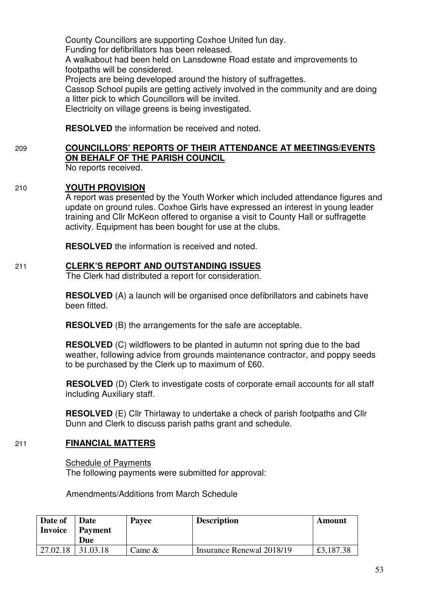County Councillors are supporting Coxhoe United fun day. Funding for defibrillators has been released. A walkabout had been held on Lansdowne Road estate and improvements to footpaths will be considered. Projects are being developed around the history of suffragettes. Cassop School pupils are getting actively involved in the community and are doing a litter pick to which Councillors will be invited. Electricity on village greens is being investigated.

**RESOLVED** the information be received and noted.

# 209 **COUNCILLORS' REPORTS OF THEIR ATTENDANCE AT MEETINGS/EVENTS ON BEHALF OF THE PARISH COUNCIL**

No reports received.

## 210 **YOUTH PROVISION**

 A report was presented by the Youth Worker which included attendance figures and update on ground rules. Coxhoe Girls have expressed an interest in young leader training and Cllr McKeon offered to organise a visit to County Hall or suffragette activity. Equipment has been bought for use at the clubs.

**RESOLVED** the information is received and noted.

## 211 **CLERK'S REPORT AND OUTSTANDING ISSUES**

The Clerk had distributed a report for consideration.

**RESOLVED** (A) a launch will be organised once defibrillators and cabinets have been fitted.

**RESOLVED** (B) the arrangements for the safe are acceptable.

**RESOLVED** (C) wildflowers to be planted in autumn not spring due to the bad weather, following advice from grounds maintenance contractor, and poppy seeds to be purchased by the Clerk up to maximum of £60.

**RESOLVED** (D) Clerk to investigate costs of corporate email accounts for all staff including Auxiliary staff.

**RESOLVED** (E) Cllr Thirlaway to undertake a check of parish footpaths and Cllr Dunn and Clerk to discuss parish paths grant and schedule.

# 211 **FINANCIAL MATTERS**

 Schedule of Payments The following payments were submitted for approval:

Amendments/Additions from March Schedule

| Date of        | Date           | Payee     | <b>Description</b>        |           |
|----------------|----------------|-----------|---------------------------|-----------|
| <b>Invoice</b> | <b>Payment</b> |           |                           |           |
|                | Due            |           |                           |           |
| 27.02.18       | 31.03.18       | Came $\&$ | Insurance Renewal 2018/19 | £3,187.38 |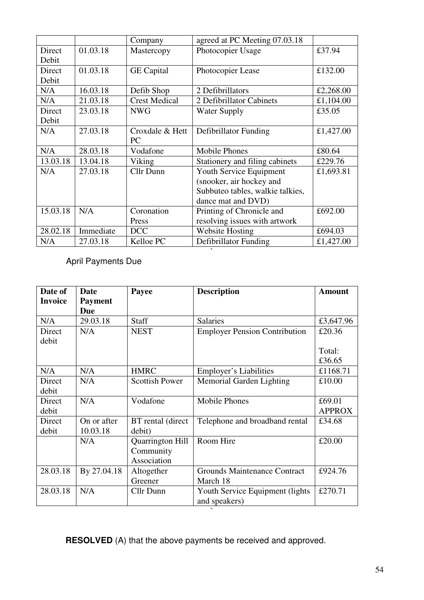| 01.03.18<br>Photocopier Usage<br>Direct<br>Mastercopy<br>Debit      | £37.94    |
|---------------------------------------------------------------------|-----------|
|                                                                     |           |
|                                                                     |           |
| 01.03.18<br>Direct<br><b>GE</b> Capital<br>Photocopier Lease        | £132.00   |
| Debit                                                               |           |
| N/A<br>16.03.18<br>Defib Shop<br>2 Defibrillators                   | £2,268.00 |
| N/A<br>21.03.18<br><b>Crest Medical</b><br>2 Defibrillator Cabinets | £1,104.00 |
| Direct<br>23.03.18<br><b>NWG</b><br><b>Water Supply</b>             | £35.05    |
| Debit                                                               |           |
| 27.03.18<br>N/A<br>Croxdale & Hett<br>Defibrillator Funding         | £1,427.00 |
| PC                                                                  |           |
| N/A<br>28.03.18<br><b>Mobile Phones</b><br>Vodafone                 | £80.64    |
| 13.03.18<br>13.04.18<br>Stationery and filing cabinets<br>Viking    | £229.76   |
| N/A<br>Cllr Dunn<br>27.03.18<br>Youth Service Equipment             | £1,693.81 |
| (snooker, air hockey and                                            |           |
| Subbuteo tables, walkie talkies,                                    |           |
| dance mat and DVD)                                                  |           |
| 15.03.18<br>Coronation<br>N/A<br>Printing of Chronicle and          | £692.00   |
| resolving issues with artwork<br>Press                              |           |
| 28.02.18<br>Immediate<br><b>DCC</b><br><b>Website Hosting</b>       | £694.03   |
| N/A<br>27.03.18<br>Kelloe PC<br>Defibrillator Funding               | £1,427.00 |

April Payments Due

| Date of<br><b>Invoice</b> | Date                         | <b>Description</b><br>Payee |                                      | <b>Amount</b> |
|---------------------------|------------------------------|-----------------------------|--------------------------------------|---------------|
|                           | <b>Payment</b><br><b>Due</b> |                             |                                      |               |
| N/A                       | 29.03.18                     | <b>Staff</b>                | <b>Salaries</b>                      | £3,647.96     |
| Direct                    | N/A                          | <b>NEST</b>                 | <b>Employer Pension Contribution</b> | £20.36        |
| debit                     |                              |                             |                                      |               |
|                           |                              |                             |                                      | Total:        |
|                           |                              |                             |                                      | £36.65        |
| N/A                       | N/A                          | <b>HMRC</b>                 | Employer's Liabilities               | £1168.71      |
| Direct                    | N/A                          | <b>Scottish Power</b>       | Memorial Garden Lighting             | £10.00        |
| debit                     |                              |                             |                                      |               |
| Direct                    | N/A                          | Vodafone                    | <b>Mobile Phones</b>                 | £69.01        |
| debit                     |                              |                             |                                      | <b>APPROX</b> |
| Direct                    | On or after                  | BT rental (direct           | Telephone and broadband rental       | £34.68        |
| debit                     | 10.03.18                     | debit)                      |                                      |               |
|                           | N/A                          | Quarrington Hill            | Room Hire                            | £20.00        |
|                           |                              | Community                   |                                      |               |
|                           |                              | Association                 |                                      |               |
| 28.03.18                  | By 27.04.18                  | Altogether                  | <b>Grounds Maintenance Contract</b>  | £924.76       |
|                           |                              | Greener                     | March 18                             |               |
| 28.03.18                  | N/A                          | Cllr Dunn                   | Youth Service Equipment (lights)     | £270.71       |
|                           |                              |                             | and speakers)                        |               |

**RESOLVED** (A) that the above payments be received and approved.

 $\ddot{\phantom{0}}$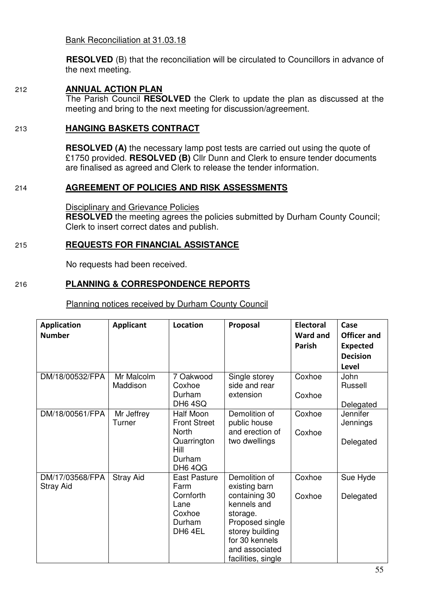Bank Reconciliation at 31.03.18

**RESOLVED** (B) that the reconciliation will be circulated to Councillors in advance of the next meeting.

#### 212 **ANNUAL ACTION PLAN**

 The Parish Council **RESOLVED** the Clerk to update the plan as discussed at the meeting and bring to the next meeting for discussion/agreement.

#### 213 **HANGING BASKETS CONTRACT**

**RESOLVED (A)** the necessary lamp post tests are carried out using the quote of £1750 provided. **RESOLVED (B)** Cllr Dunn and Clerk to ensure tender documents are finalised as agreed and Clerk to release the tender information.

## 214 **AGREEMENT OF POLICIES AND RISK ASSESSMENTS**

Disciplinary and Grievance Policies **RESOLVED** the meeting agrees the policies submitted by Durham County Council; Clerk to insert correct dates and publish.

## 215 **REQUESTS FOR FINANCIAL ASSISTANCE**

No requests had been received.

## 216 **PLANNING & CORRESPONDENCE REPORTS**

#### Planning notices received by Durham County Council

| <b>Application</b> | <b>Applicant</b> | <b>Location</b>     | Proposal           | <b>Electoral</b> | Case               |
|--------------------|------------------|---------------------|--------------------|------------------|--------------------|
| <b>Number</b>      |                  |                     |                    | <b>Ward and</b>  | <b>Officer and</b> |
|                    |                  |                     |                    | Parish           | <b>Expected</b>    |
|                    |                  |                     |                    |                  | <b>Decision</b>    |
|                    |                  |                     |                    |                  | Level              |
| DM/18/00532/FPA    | Mr Malcolm       | 7 Oakwood           | Single storey      | Coxhoe           | John               |
|                    | Maddison         | Coxhoe              | side and rear      |                  | Russell            |
|                    |                  | Durham              | extension          | Coxhoe           |                    |
|                    |                  | DH6 4SQ             |                    |                  | Delegated          |
| DM/18/00561/FPA    | Mr Jeffrey       | Half Moon           | Demolition of      | Coxhoe           | <b>Jennifer</b>    |
|                    | Turner           | <b>Front Street</b> | public house       |                  | Jennings           |
|                    |                  | North               | and erection of    | Coxhoe           |                    |
|                    |                  | Quarrington         | two dwellings      |                  | Delegated          |
|                    |                  | Hill<br>Durham      |                    |                  |                    |
|                    |                  | DH6 4QG             |                    |                  |                    |
| DM/17/03568/FPA    | <b>Stray Aid</b> | East Pasture        | Demolition of      | Coxhoe           | Sue Hyde           |
| <b>Stray Aid</b>   |                  | Farm                | existing barn      |                  |                    |
|                    |                  | Cornforth           | containing 30      | Coxhoe           | Delegated          |
|                    |                  | Lane                | kennels and        |                  |                    |
|                    |                  | Coxhoe              | storage.           |                  |                    |
|                    |                  | Durham              | Proposed single    |                  |                    |
|                    |                  | DH6 4EL             | storey building    |                  |                    |
|                    |                  |                     | for 30 kennels     |                  |                    |
|                    |                  |                     | and associated     |                  |                    |
|                    |                  |                     | facilities, single |                  |                    |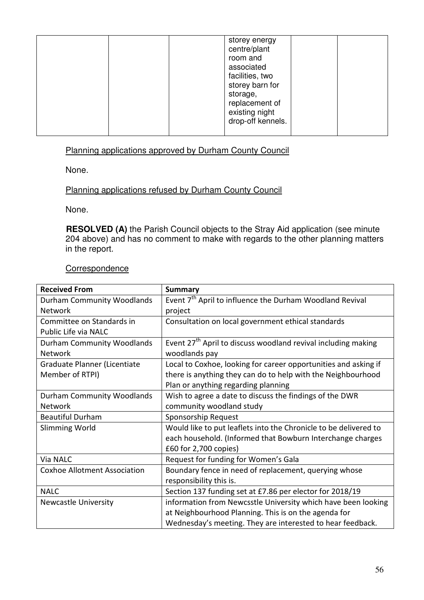| storey energy<br>centre/plant<br>room and<br>associated<br>facilities, two<br>storey barn for<br>storage,<br>replacement of<br>existing night<br>drop-off kennels. |  |  |  |
|--------------------------------------------------------------------------------------------------------------------------------------------------------------------|--|--|--|
|                                                                                                                                                                    |  |  |  |

# Planning applications approved by Durham County Council

None.

# Planning applications refused by Durham County Council

None.

 **RESOLVED (A)** the Parish Council objects to the Stray Aid application (see minute 204 above) and has no comment to make with regards to the other planning matters in the report.

#### **Correspondence**

| <b>Received From</b>                | <b>Summary</b>                                                            |
|-------------------------------------|---------------------------------------------------------------------------|
| Durham Community Woodlands          | Event 7 <sup>th</sup> April to influence the Durham Woodland Revival      |
| <b>Network</b>                      | project                                                                   |
| Committee on Standards in           | Consultation on local government ethical standards                        |
| Public Life via NALC                |                                                                           |
| Durham Community Woodlands          | Event 27 <sup>th</sup> April to discuss woodland revival including making |
| <b>Network</b>                      | woodlands pay                                                             |
| Graduate Planner (Licentiate        | Local to Coxhoe, looking for career opportunities and asking if           |
| Member of RTPI)                     | there is anything they can do to help with the Neighbourhood              |
|                                     | Plan or anything regarding planning                                       |
| Durham Community Woodlands          | Wish to agree a date to discuss the findings of the DWR                   |
| <b>Network</b>                      | community woodland study                                                  |
| <b>Beautiful Durham</b>             | Sponsorship Request                                                       |
| <b>Slimming World</b>               | Would like to put leaflets into the Chronicle to be delivered to          |
|                                     | each household. (Informed that Bowburn Interchange charges                |
|                                     | £60 for 2,700 copies)                                                     |
| Via NALC                            | Request for funding for Women's Gala                                      |
| <b>Coxhoe Allotment Association</b> | Boundary fence in need of replacement, querying whose                     |
|                                     | responsibility this is.                                                   |
| <b>NALC</b>                         | Section 137 funding set at £7.86 per elector for 2018/19                  |
| <b>Newcastle University</b>         | information from Newcsstle University which have been looking             |
|                                     | at Neighbourhood Planning. This is on the agenda for                      |
|                                     | Wednesday's meeting. They are interested to hear feedback.                |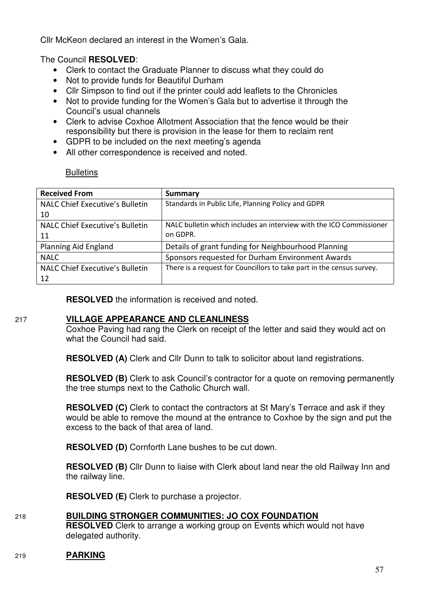Cllr McKeon declared an interest in the Women's Gala.

The Council **RESOLVED**:

- Clerk to contact the Graduate Planner to discuss what they could do
- Not to provide funds for Beautiful Durham
- Cllr Simpson to find out if the printer could add leaflets to the Chronicles<br>• Not to provide funding for the Women's Gala but to advertise it through to
- Not to provide funding for the Women's Gala but to advertise it through the Council's usual channels
- Clerk to advise Coxhoe Allotment Association that the fence would be their responsibility but there is provision in the lease for them to reclaim rent
- GDPR to be included on the next meeting's agenda
- All other correspondence is received and noted.

**Bulletins** 

| <b>Received From</b>                   | <b>Summary</b>                                                        |
|----------------------------------------|-----------------------------------------------------------------------|
| NALC Chief Executive's Bulletin        | Standards in Public Life, Planning Policy and GDPR                    |
| 10                                     |                                                                       |
| NALC Chief Executive's Bulletin        | NALC bulletin which includes an interview with the ICO Commissioner   |
| 11                                     | on GDPR.                                                              |
| Planning Aid England                   | Details of grant funding for Neighbourhood Planning                   |
| <b>NALC</b>                            | Sponsors requested for Durham Environment Awards                      |
| <b>NALC Chief Executive's Bulletin</b> | There is a request for Councillors to take part in the census survey. |
| 12                                     |                                                                       |

**RESOLVED** the information is received and noted.

#### 217 **VILLAGE APPEARANCE AND CLEANLINESS**

Coxhoe Paving had rang the Clerk on receipt of the letter and said they would act on what the Council had said.

**RESOLVED (A)** Clerk and Cllr Dunn to talk to solicitor about land registrations.

**RESOLVED (B)** Clerk to ask Council's contractor for a quote on removing permanently the tree stumps next to the Catholic Church wall.

**RESOLVED (C)** Clerk to contact the contractors at St Mary's Terrace and ask if they would be able to remove the mound at the entrance to Coxhoe by the sign and put the excess to the back of that area of land.

**RESOLVED (D)** Cornforth Lane bushes to be cut down.

**RESOLVED (B)** Cllr Dunn to liaise with Clerk about land near the old Railway Inn and the railway line.

**RESOLVED (E)** Clerk to purchase a projector.

# 218 **BUILDING STRONGER COMMUNITIES: JO COX FOUNDATION**

**RESOLVED** Clerk to arrange a working group on Events which would not have delegated authority.

219 **PARKING**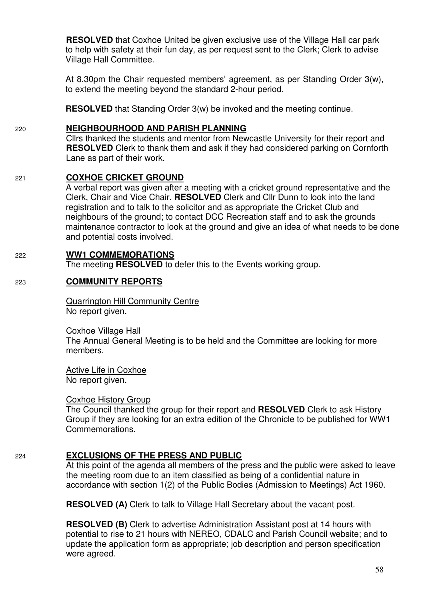**RESOLVED** that Coxhoe United be given exclusive use of the Village Hall car park to help with safety at their fun day, as per request sent to the Clerk; Clerk to advise Village Hall Committee.

At 8.30pm the Chair requested members' agreement, as per Standing Order 3(w), to extend the meeting beyond the standard 2-hour period.

**RESOLVED** that Standing Order 3(w) be invoked and the meeting continue.

# 220 **NEIGHBOURHOOD AND PARISH PLANNING**

 Cllrs thanked the students and mentor from Newcastle University for their report and **RESOLVED** Clerk to thank them and ask if they had considered parking on Cornforth Lane as part of their work.

# 221 **COXHOE CRICKET GROUND**

A verbal report was given after a meeting with a cricket ground representative and the Clerk, Chair and Vice Chair. **RESOLVED** Clerk and Cllr Dunn to look into the land registration and to talk to the solicitor and as appropriate the Cricket Club and neighbours of the ground; to contact DCC Recreation staff and to ask the grounds maintenance contractor to look at the ground and give an idea of what needs to be done and potential costs involved.

# 222 **WW1 COMMEMORATIONS**

The meeting **RESOLVED** to defer this to the Events working group.

# 223 **COMMUNITY REPORTS**

 Quarrington Hill Community Centre No report given.

Coxhoe Village Hall

 The Annual General Meeting is to be held and the Committee are looking for more members.

 Active Life in Coxhoe No report given.

#### Coxhoe History Group

The Council thanked the group for their report and **RESOLVED** Clerk to ask History Group if they are looking for an extra edition of the Chronicle to be published for WW1 Commemorations.

# 224 **EXCLUSIONS OF THE PRESS AND PUBLIC**

At this point of the agenda all members of the press and the public were asked to leave the meeting room due to an item classified as being of a confidential nature in accordance with section 1(2) of the Public Bodies (Admission to Meetings) Act 1960.

**RESOLVED (A)** Clerk to talk to Village Hall Secretary about the vacant post.

**RESOLVED (B)** Clerk to advertise Administration Assistant post at 14 hours with potential to rise to 21 hours with NEREO, CDALC and Parish Council website; and to update the application form as appropriate; job description and person specification were agreed.